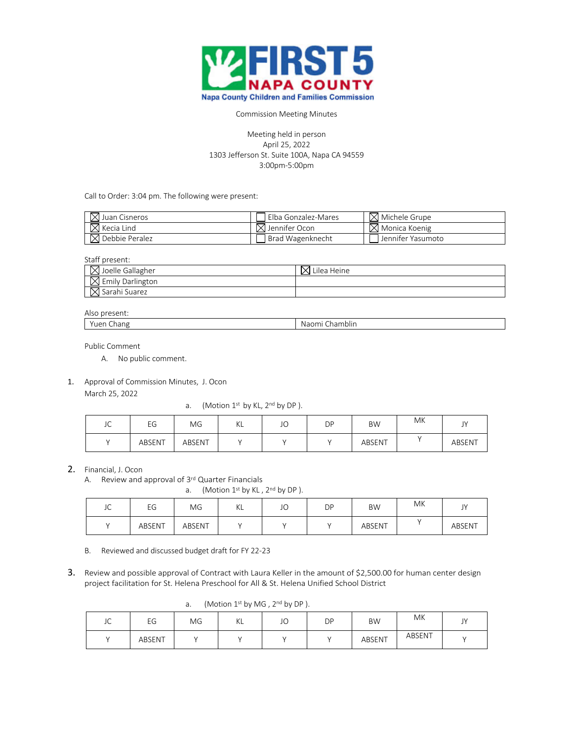

## Commission Meeting Minutes

## Meeting held in person April 25, 2022 1303 Jefferson St. Suite 100A, Napa CA 94559 3:00pm-5:00pm

Call to Order: 3:04 pm. The following were present:

| $\boxtimes$ Juan Cisneros  | Elba Gonzalez-Mares       | $\boxtimes$ Michele Grupe |
|----------------------------|---------------------------|---------------------------|
| $\boxtimes$ Kecia Lind     | $\boxtimes$ Jennifer Ocon | $\boxtimes$ Monica Koenig |
| $\boxtimes$ Debbie Peralez | Brad Wagenknecht          | Jennifer Yasumoto         |

Staff present:

| , Joelle Gallagher      | Heine<br>Lilea |
|-------------------------|----------------|
| s Emily Darlington<br>᠕ |                |
| М<br>Sarahi Suarez      |                |

## Also present:

| 11.<br>Πe<br>∽ו<br>$\cdots$ | .<br>mblir<br>$\mathbf{v}$<br>i id.<br>. . |
|-----------------------------|--------------------------------------------|
|                             |                                            |

Public Comment

- A. No public comment.
- 1. Approval of Commission Minutes, J. Ocon

March 25, 2022

a. (Motion  $1^{st}$  by KL,  $2^{nd}$  by DP).

| JC | EG     | ΜG     | $\mathcal{U}$<br>NL | JO | DP | <b>BW</b> | МK | $\mathbf{N}$<br>ັ່ |
|----|--------|--------|---------------------|----|----|-----------|----|--------------------|
|    | ABSENT | ABSENT |                     |    |    | ABSENT    |    | ABSENT             |

## 2. Financial, J. Ocon

A. Review and approval of 3rd Quarter Financials

a. (Motion  $1^{st}$  by KL,  $2^{nd}$  by DP).

| $\sim$<br>JU | ΓC<br>ÈЧ | ΜG     | $\sqrt{ }$<br>NL | JU | DP | <b>BW</b> | МK | $\mathbf{N}$<br>ັ |
|--------------|----------|--------|------------------|----|----|-----------|----|-------------------|
|              | ABSENT   | ABSENT |                  |    |    | ABSENT    |    | ABSENT            |

- B. Reviewed and discussed budget draft for FY 22-23
- 3. Review and possible approval of Contract with Laura Keller in the amount of \$2,500.00 for human center design project facilitation for St. Helena Preschool for All & St. Helena Unified School District

|              | <u>.</u><br>$\left\{ \text{ivectors} \mid \text{if } \text{by } \text{iv} \in \text{, } \text{by } \text{or } \text{.} \right\}$ |    |    |    |    |           |        |    |  |  |
|--------------|----------------------------------------------------------------------------------------------------------------------------------|----|----|----|----|-----------|--------|----|--|--|
| $\sim$<br>JC | EG                                                                                                                               | MG | ΚL | JO | DP | <b>BW</b> | MK     | JY |  |  |
|              | ABSENT                                                                                                                           |    |    |    |    | ABSENT    | ABSENT |    |  |  |

a. (Motion 1st by MG , 2nd by DP ).